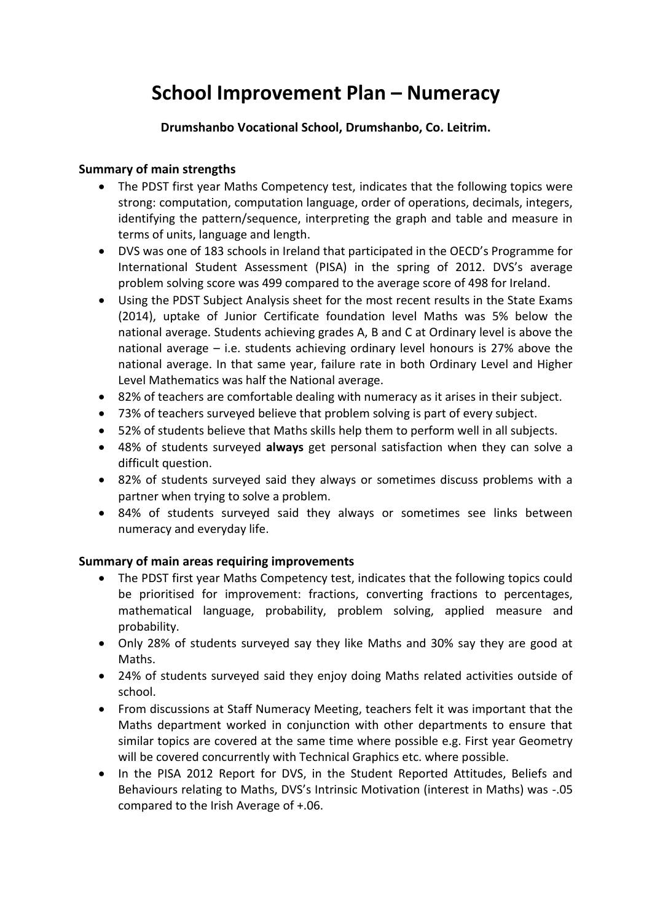# **School Improvement Plan – Numeracy**

## **Drumshanbo Vocational School, Drumshanbo, Co. Leitrim.**

# **Summary of main strengths**

- The PDST first year Maths Competency test, indicates that the following topics were strong: computation, computation language, order of operations, decimals, integers, identifying the pattern/sequence, interpreting the graph and table and measure in terms of units, language and length.
- DVS was one of 183 schools in Ireland that participated in the OECD's Programme for International Student Assessment (PISA) in the spring of 2012. DVS's average problem solving score was 499 compared to the average score of 498 for Ireland.
- Using the PDST Subject Analysis sheet for the most recent results in the State Exams (2014), uptake of Junior Certificate foundation level Maths was 5% below the national average. Students achieving grades A, B and C at Ordinary level is above the national average – i.e. students achieving ordinary level honours is 27% above the national average. In that same year, failure rate in both Ordinary Level and Higher Level Mathematics was half the National average.
- 82% of teachers are comfortable dealing with numeracy as it arises in their subject.
- 73% of teachers surveyed believe that problem solving is part of every subject.
- 52% of students believe that Maths skills help them to perform well in all subjects.
- 48% of students surveyed **always** get personal satisfaction when they can solve a difficult question.
- 82% of students surveyed said they always or sometimes discuss problems with a partner when trying to solve a problem.
- 84% of students surveyed said they always or sometimes see links between numeracy and everyday life.

#### **Summary of main areas requiring improvements**

- The PDST first year Maths Competency test, indicates that the following topics could be prioritised for improvement: fractions, converting fractions to percentages, mathematical language, probability, problem solving, applied measure and probability.
- Only 28% of students surveyed say they like Maths and 30% say they are good at Maths.
- 24% of students surveyed said they enjoy doing Maths related activities outside of school.
- From discussions at Staff Numeracy Meeting, teachers felt it was important that the Maths department worked in conjunction with other departments to ensure that similar topics are covered at the same time where possible e.g. First year Geometry will be covered concurrently with Technical Graphics etc. where possible.
- In the PISA 2012 Report for DVS, in the Student Reported Attitudes, Beliefs and Behaviours relating to Maths, DVS's Intrinsic Motivation (interest in Maths) was -.05 compared to the Irish Average of +.06.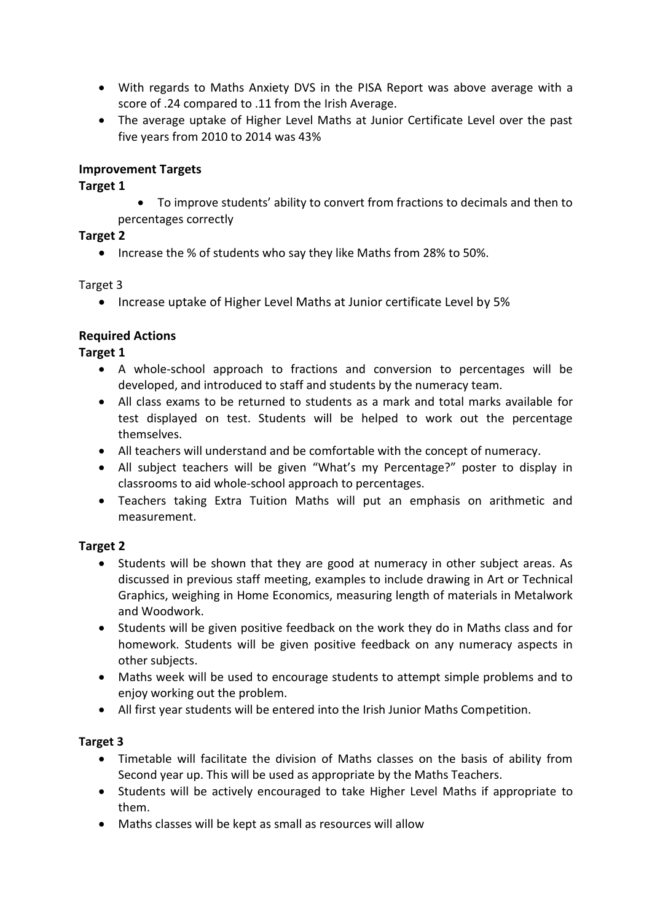- With regards to Maths Anxiety DVS in the PISA Report was above average with a score of .24 compared to .11 from the Irish Average.
- The average uptake of Higher Level Maths at Junior Certificate Level over the past five years from 2010 to 2014 was 43%

## **Improvement Targets**

## **Target 1**

 To improve students' ability to convert from fractions to decimals and then to percentages correctly

# **Target 2**

• Increase the % of students who say they like Maths from 28% to 50%.

#### Target 3

• Increase uptake of Higher Level Maths at Junior certificate Level by 5%

# **Required Actions**

# **Target 1**

- A whole-school approach to fractions and conversion to percentages will be developed, and introduced to staff and students by the numeracy team.
- All class exams to be returned to students as a mark and total marks available for test displayed on test. Students will be helped to work out the percentage themselves.
- All teachers will understand and be comfortable with the concept of numeracy.
- All subject teachers will be given "What's my Percentage?" poster to display in classrooms to aid whole-school approach to percentages.
- Teachers taking Extra Tuition Maths will put an emphasis on arithmetic and measurement.

#### **Target 2**

- Students will be shown that they are good at numeracy in other subject areas. As discussed in previous staff meeting, examples to include drawing in Art or Technical Graphics, weighing in Home Economics, measuring length of materials in Metalwork and Woodwork.
- Students will be given positive feedback on the work they do in Maths class and for homework. Students will be given positive feedback on any numeracy aspects in other subjects.
- Maths week will be used to encourage students to attempt simple problems and to enjoy working out the problem.
- All first year students will be entered into the Irish Junior Maths Competition.

#### **Target 3**

- Timetable will facilitate the division of Maths classes on the basis of ability from Second year up. This will be used as appropriate by the Maths Teachers.
- Students will be actively encouraged to take Higher Level Maths if appropriate to them.
- Maths classes will be kept as small as resources will allow